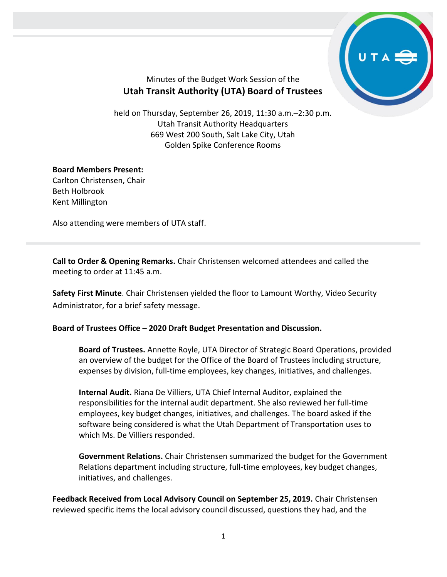

## Minutes of the Budget Work Session of the **Utah Transit Authority (UTA) Board of Trustees**

held on Thursday, September 26, 2019, 11:30 a.m.–2:30 p.m. Utah Transit Authority Headquarters 669 West 200 South, Salt Lake City, Utah Golden Spike Conference Rooms

## **Board Members Present:**

Carlton Christensen, Chair Beth Holbrook Kent Millington

Also attending were members of UTA staff.

**Call to Order & Opening Remarks.** Chair Christensen welcomed attendees and called the meeting to order at 11:45 a.m.

**Safety First Minute**. Chair Christensen yielded the floor to Lamount Worthy, Video Security Administrator, for a brief safety message.

## **Board of Trustees Office – 2020 Draft Budget Presentation and Discussion.**

**Board of Trustees.** Annette Royle, UTA Director of Strategic Board Operations, provided an overview of the budget for the Office of the Board of Trustees including structure, expenses by division, full-time employees, key changes, initiatives, and challenges.

**Internal Audit.** Riana De Villiers, UTA Chief Internal Auditor, explained the responsibilities for the internal audit department. She also reviewed her full-time employees, key budget changes, initiatives, and challenges. The board asked if the software being considered is what the Utah Department of Transportation uses to which Ms. De Villiers responded.

**Government Relations.** Chair Christensen summarized the budget for the Government Relations department including structure, full-time employees, key budget changes, initiatives, and challenges.

**Feedback Received from Local Advisory Council on September 25, 2019.** Chair Christensen reviewed specific items the local advisory council discussed, questions they had, and the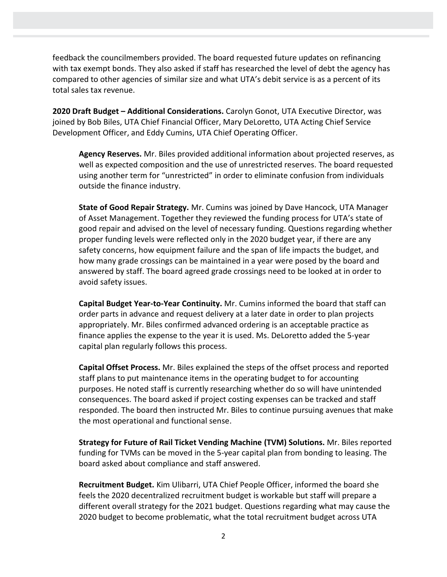feedback the councilmembers provided. The board requested future updates on refinancing with tax exempt bonds. They also asked if staff has researched the level of debt the agency has compared to other agencies of similar size and what UTA's debit service is as a percent of its total sales tax revenue.

**2020 Draft Budget – Additional Considerations.** Carolyn Gonot, UTA Executive Director, was joined by Bob Biles, UTA Chief Financial Officer, Mary DeLoretto, UTA Acting Chief Service Development Officer, and Eddy Cumins, UTA Chief Operating Officer.

**Agency Reserves.** Mr. Biles provided additional information about projected reserves, as well as expected composition and the use of unrestricted reserves. The board requested using another term for "unrestricted" in order to eliminate confusion from individuals outside the finance industry.

**State of Good Repair Strategy.** Mr. Cumins was joined by Dave Hancock, UTA Manager of Asset Management. Together they reviewed the funding process for UTA's state of good repair and advised on the level of necessary funding. Questions regarding whether proper funding levels were reflected only in the 2020 budget year, if there are any safety concerns, how equipment failure and the span of life impacts the budget, and how many grade crossings can be maintained in a year were posed by the board and answered by staff. The board agreed grade crossings need to be looked at in order to avoid safety issues.

**Capital Budget Year-to-Year Continuity.** Mr. Cumins informed the board that staff can order parts in advance and request delivery at a later date in order to plan projects appropriately. Mr. Biles confirmed advanced ordering is an acceptable practice as finance applies the expense to the year it is used. Ms. DeLoretto added the 5-year capital plan regularly follows this process.

**Capital Offset Process.** Mr. Biles explained the steps of the offset process and reported staff plans to put maintenance items in the operating budget to for accounting purposes. He noted staff is currently researching whether do so will have unintended consequences. The board asked if project costing expenses can be tracked and staff responded. The board then instructed Mr. Biles to continue pursuing avenues that make the most operational and functional sense.

**Strategy for Future of Rail Ticket Vending Machine (TVM) Solutions.** Mr. Biles reported funding for TVMs can be moved in the 5-year capital plan from bonding to leasing. The board asked about compliance and staff answered.

**Recruitment Budget.** Kim Ulibarri, UTA Chief People Officer, informed the board she feels the 2020 decentralized recruitment budget is workable but staff will prepare a different overall strategy for the 2021 budget. Questions regarding what may cause the 2020 budget to become problematic, what the total recruitment budget across UTA